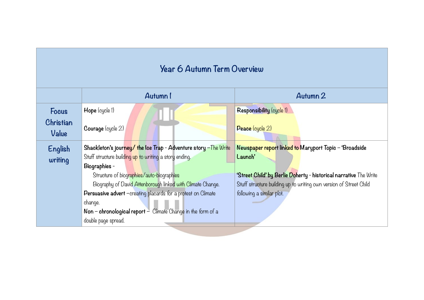## **Year 6 Autumn Term Overview**

|                    | Autumn 1                                                           | Autumn 2                                                           |
|--------------------|--------------------------------------------------------------------|--------------------------------------------------------------------|
| <b>Focus</b>       | Hope (cycle 1)                                                     | Responsibility (cycle 1)                                           |
| Christian<br>Value | Courage (cycle 2)                                                  | Peace (cycle 2)                                                    |
| English            | Shackleton's journey/ the lce Trap - Adventure story - The Write   | Newspaper report linked to Maryport Topic - 'Broadside             |
| writing            | Stuff structure building up to writing a story ending.             | Launch'                                                            |
|                    | Biographies -                                                      |                                                                    |
|                    | Structure of biographies/auto-biographies                          | 'Street Child' by Berlie Doherty - historical narrative The Write  |
|                    | Biography of David Attenborough linked with Climate Change.        | Stuff structure building up to writing own version of Street Child |
|                    | Persuasive advert -creating placards for a protest on Climate      | following a similar plot.                                          |
|                    | change.                                                            |                                                                    |
|                    | Non – chronological report – $C$ limate $C$ hange in the form of a |                                                                    |
|                    | double page spread.                                                |                                                                    |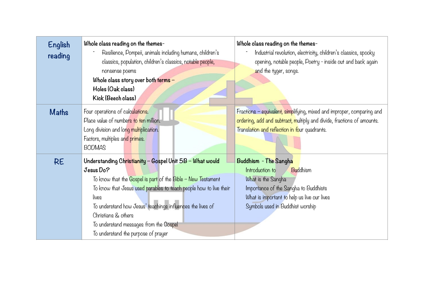| English<br>reading | Whole class reading on the themes-<br>Resilience, Pompeii, animals including humans, children's<br>classics, population, children's classics, notable people,<br>nonsense poems<br>Whole class story over both terms $-$<br>Holes (Oak class)<br>Kick (Beech class)                                                                                                                        | Whole class reading on the themes-<br>Industrial revolution, electricity, children's classics, spooky<br>opening, notable people, Poetry - inside out and back again<br>and the tyger, songs.          |
|--------------------|--------------------------------------------------------------------------------------------------------------------------------------------------------------------------------------------------------------------------------------------------------------------------------------------------------------------------------------------------------------------------------------------|--------------------------------------------------------------------------------------------------------------------------------------------------------------------------------------------------------|
| <b>Maths</b>       | Four operations of calculations.<br>Place value of numbers to ten million.<br>Long division and long multiplication.<br>Factors, multiples and primes.<br><b>BODMAS</b>                                                                                                                                                                                                                    | Fractions - equivalent, simplifying, mixed and improper, comparing and<br>ordering, add and subtract, multiply and divide, fractions of amounts.<br>Translation and reflection in four quadrants.      |
| <b>RE</b>          | Understanding Christianity - Gospel Unit 5B - What would<br>Jesus Do?<br>To know that the Gospel is part of the Bible - New Testament<br>To know that Jesus used parables to teach people how to live their<br>lives<br>To understand how Jesus' teachings influences the lives of<br>Christians & others<br>To understand messages from the Gospel<br>To understand the purpose of prayer | Buddhism - The Sangha<br>Introduction to<br>Buddhism<br>What is the Sangha<br>Importance of the Sangha to Buddhists<br>What is important to help us live our lives<br>Symbols used in Buddhist worship |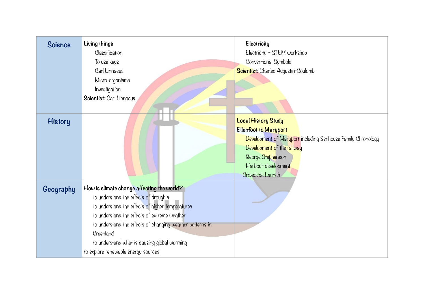| Science   | Living things<br>Classification<br>To use keys<br>Carl Linnaeus<br>Micro-organisms<br>Investigation<br>Scientist: Carl Linnaeus                                                                                                                                                                                                                          | Electricity<br>Electricity - STEM workshop<br>Conventional Symbols<br><b>Scientist:</b> Charles Augustin-Coulomb                                                                                                         |
|-----------|----------------------------------------------------------------------------------------------------------------------------------------------------------------------------------------------------------------------------------------------------------------------------------------------------------------------------------------------------------|--------------------------------------------------------------------------------------------------------------------------------------------------------------------------------------------------------------------------|
| History   |                                                                                                                                                                                                                                                                                                                                                          | <b>Local History Study</b><br><b>Ellenfoot to Maryport</b><br>Development of Maryport including Senhouse Family Chronology<br>Development of the railway<br>George Stephenson<br>Harbour development<br>Broadside Launch |
| Geography | How is climate change affecting the world?<br>to understand the effects of droughts<br>to understand the effects of higher temperatures<br>to understand the effects of extreme weather<br>to understand the effects of changing weather patterns in<br>Greenland<br>to understand what is causing global warming<br>to explore renewable energy sources |                                                                                                                                                                                                                          |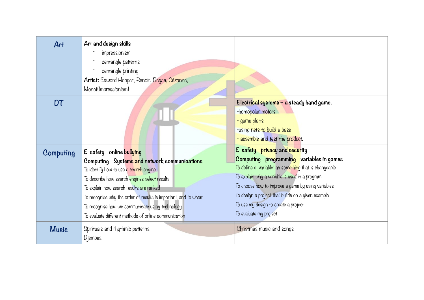| Art              | Art and design skills<br>impressionism<br>zentangle patterns<br>zentangle printing<br>Artist: Edward Hopper, Renoir, Degas, Cézanne,<br>Monet(Impressionism)                                                                                                                                                                                                                                        |                                                                                                                                                                                                                                                                                                                                                                           |
|------------------|-----------------------------------------------------------------------------------------------------------------------------------------------------------------------------------------------------------------------------------------------------------------------------------------------------------------------------------------------------------------------------------------------------|---------------------------------------------------------------------------------------------------------------------------------------------------------------------------------------------------------------------------------------------------------------------------------------------------------------------------------------------------------------------------|
| DT               |                                                                                                                                                                                                                                                                                                                                                                                                     | Electrical systems $-$ a steady hand game.<br>-homopolar motors<br>- game plans<br>-using nets to build a base<br>- assemble and test the product.                                                                                                                                                                                                                        |
| <b>Computing</b> | E-safety - online bullying<br>Computing - Systems and network communications<br>To identify how to use a search engine<br>To describe how search engines select results<br>To explain how search results are ranked<br>To recognise why the order of results is important, and to whom<br>To recognise how we communicate using technology<br>To evaluate different methods of online communication | E-safety - privacy and security<br>Computing - programming - variables in games<br>To define a 'variable' as something that is changeable<br>To explain why a variable is used in a program<br>To choose how to improve a game by using variables<br>To design a project that builds on a given example<br>To use my design to create a project<br>To evaluate my project |
| <b>Music</b>     | Spirituals and rhythmic patterns<br>Djembes                                                                                                                                                                                                                                                                                                                                                         | Christmas music and songs                                                                                                                                                                                                                                                                                                                                                 |